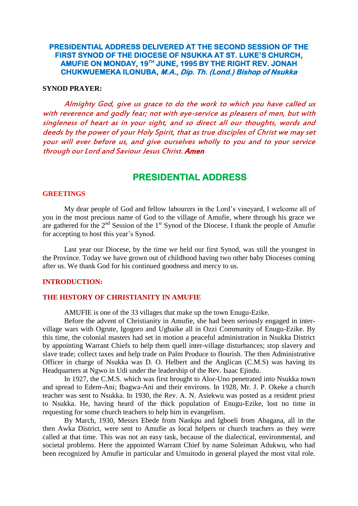# **PRESIDENTIAL ADDRESS DELIVERED AT THE SECOND SESSION OF THE FIRST SYNOD OF THE DIOCESE OF NSUKKA AT ST. LUKE'S CHURCH, AMUFIE ON MONDAY, 19TH JUNE, 1995 BY THE RIGHT REV. JONAH CHUKWUEMEKA ILONUBA, M.A., Dip. Th. (Lond.) Bishop of Nsukka**

### **SYNOD PRAYER:**

Almighty God, give us grace to do the work to which you have called us with reverence and godly fear; not with eye-service as pleasers of men, but with singleness of heart as in your sight, and so direct all our thoughts, words and deeds by the power of your Holy Spirit, that as true disciples of Christ we may set your will ever before us, and give ourselves wholly to you and to your service through our Lord and Saviour Jesus Christ. Amen

# **PRESIDENTIAL ADDRESS**

#### **GREETINGS**

My dear people of God and fellow labourers in the Lord"s vineyard, I welcome all of you in the most precious name of God to the village of Amufie, where through his grace we are gathered for the  $2<sup>nd</sup>$  Session of the  $1<sup>st</sup>$  Synod of the Diocese. I thank the people of Amufie for accepting to host this year"s Synod.

Last year our Diocese, by the time we held our first Synod, was still the youngest in the Province. Today we have grown out of childhood having two other baby Dioceses coming after us. We thank God for his continued goodness and mercy to us.

#### **INTRODUCTION:**

#### **THE HISTORY OF CHRISTIANITY IN AMUFIE**

AMUFIE is one of the 33 villages that make up the town Enugu-Ezike.

Before the advent of Christianity in Amufie, she had been seriously engaged in intervillage wars with Ogrute, Igogoro and Ugbaike all in Ozzi Community of Enugu-Ezike. By this time, the colonial masters had set in motion a peaceful administration in Nsukka District by appointing Warrant Chiefs to help them quell inter-village disturbances; stop slavery and slave trade; collect taxes and help trade on Palm Produce to flourish. The then Administrative Officer in charge of Nsukka was D. O. Helbert and the Anglican (C.M.S) was having its Headquarters at Ngwo in Udi under the leadership of the Rev. Isaac Ejindu.

In 1927, the C.M.S. which was first brought to Alor-Uno penetrated into Nsukka town and spread to Edem-Ani; Ibagwa-Ani and their environs. In 1928, Mr. J. P. Okeke a church teacher was sent to Nsukka. In 1930, the Rev. A. N. Asiekwu was posted as a resident priest to Nsukka. He, having heard of the thick population of Enugu-Ezike, lost no time in requesting for some church teachers to help him in evangelism.

By March, 1930, Messrs Ebede from Nankpu and Igboeli from Abagana, all in the then Awka District, were sent to Amufie as local helpers or church teachers as they were called at that time. This was not an easy task, because of the dialectical, environmental, and societal problems. Here the appointed Warrant Chief by name Suleiman Adukwu, who had been recognized by Amufie in particular and Umuitodo in general played the most vital role.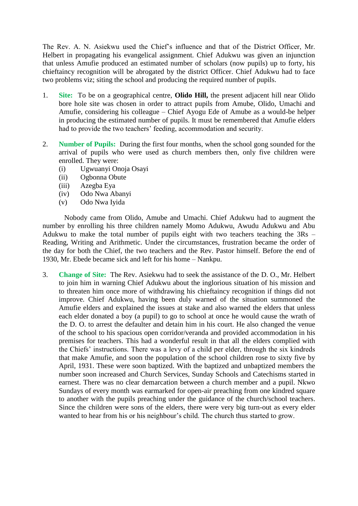The Rev. A. N. Asiekwu used the Chief"s influence and that of the District Officer, Mr. Helbert in propagating his evangelical assignment. Chief Adukwu was given an injunction that unless Amufie produced an estimated number of scholars (now pupils) up to forty, his chieftaincy recognition will be abrogated by the district Officer. Chief Adukwu had to face two problems viz; siting the school and producing the required number of pupils.

- 1. **Site:** To be on a geographical centre, **Olido Hill,** the present adjacent hill near Olido bore hole site was chosen in order to attract pupils from Amube, Olido, Umachi and Amufie, considering his colleague – Chief Ayogu Ede of Amube as a would-be helper in producing the estimated number of pupils. It must be remembered that Amufie elders had to provide the two teachers' feeding, accommodation and security.
- 2. **Number of Pupils:** During the first four months, when the school gong sounded for the arrival of pupils who were used as church members then, only five children were enrolled. They were:
	- (i) Ugwuanyi Onoja Osayi
	- (ii) Ogbonna Obute
	- (iii) Azegba Eya
	- (iv) Odo Nwa Abanyi
	- (v) Odo Nwa Iyida

Nobody came from Olido, Amube and Umachi. Chief Adukwu had to augment the number by enrolling his three children namely Momo Adukwu, Awudu Adukwu and Abu Adukwu to make the total number of pupils eight with two teachers teaching the 3Rs – Reading, Writing and Arithmetic. Under the circumstances, frustration became the order of the day for both the Chief, the two teachers and the Rev. Pastor himself. Before the end of 1930, Mr. Ebede became sick and left for his home – Nankpu.

3. **Change of Site:** The Rev. Asiekwu had to seek the assistance of the D. O., Mr. Helbert to join him in warning Chief Adukwu about the inglorious situation of his mission and to threaten him once more of withdrawing his chieftaincy recognition if things did not improve. Chief Adukwu, having been duly warned of the situation summoned the Amufie elders and explained the issues at stake and also warned the elders that unless each elder donated a boy (a pupil) to go to school at once he would cause the wrath of the D. O. to arrest the defaulter and detain him in his court. He also changed the venue of the school to his spacious open corridor/veranda and provided accommodation in his premises for teachers. This had a wonderful result in that all the elders complied with the Chiefs" instructions. There was a levy of a child per elder, through the six kindreds that make Amufie, and soon the population of the school children rose to sixty five by April, 1931. These were soon baptized. With the baptized and unbaptized members the number soon increased and Church Services, Sunday Schools and Catechisms started in earnest. There was no clear demarcation between a church member and a pupil. Nkwo Sundays of every month was earmarked for open-air preaching from one kindred square to another with the pupils preaching under the guidance of the church/school teachers. Since the children were sons of the elders, there were very big turn-out as every elder wanted to hear from his or his neighbour's child. The church thus started to grow.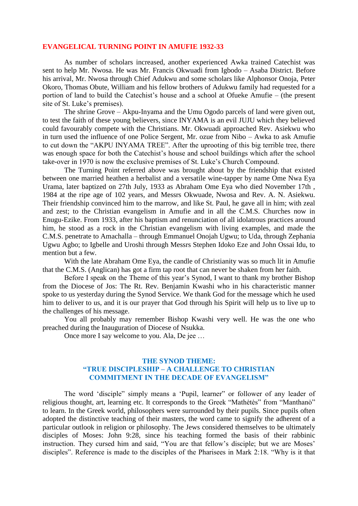#### **EVANGELICAL TURNING POINT IN AMUFIE 1932-33**

As number of scholars increased, another experienced Awka trained Catechist was sent to help Mr. Nwosa. He was Mr. Francis Okwuadi from Igbodo – Asaba District. Before his arrival, Mr. Nwosa through Chief Adukwu and some scholars like Alphonsor Onoja, Peter Okoro, Thomas Obute, William and his fellow brothers of Adukwu family had requested for a portion of land to build the Catechist"s house and a school at Ofueke Amufie – (the present site of St. Luke's premises).

The shrine Grove – Akpu-Inyama and the Umu Ogodo parcels of land were given out, to test the faith of these young believers, since INYAMA is an evil JUJU which they believed could favourably compete with the Christians. Mr. Okwuadi approached Rev. Asiekwu who in turn used the influence of one Police Sergent, Mr. ozue from Nibo – Awka to ask Amufie to cut down the "AKPU INYAMA TREE". After the uprooting of this big terrible tree, there was enough space for both the Catechist's house and school buildings which after the school take-over in 1970 is now the exclusive premises of St. Luke"s Church Compound.

The Turning Point referred above was brought about by the friendship that existed between one married heathen a herbalist and a versatile wine-tapper by name Ome Nwa Eya Urama, later baptized on 27th July, 1933 as Abraham Ome Eya who died November 17th , 1984 at the ripe age of 102 years, and Messrs Okwuade, Nwosa and Rev. A. N. Asiekwu. Their friendship convinced him to the marrow, and like St. Paul, he gave all in him; with zeal and zest; to the Christian evangelism in Amufie and in all the C.M.S. Churches now in Enugu-Ezike. From 1933, after his baptism and renunciation of all idolatrous practices around him, he stood as a rock in the Christian evangelism with living examples, and made the C.M.S. penetrate to Amachalla – through Emmanuel Onojah Ugwu; to Uda, through Zephania Ugwu Agbo; to Igbelle and Uroshi through Messrs Stephen Idoko Eze and John Ossai Idu, to mention but a few.

With the late Abraham Ome Eya, the candle of Christianity was so much lit in Amufie that the C.M.S. (Anglican) has got a firm tap root that can never be shaken from her faith.

Before I speak on the Theme of this year's Synod, I want to thank my brother Bishop from the Diocese of Jos: The Rt. Rev. Benjamin Kwashi who in his characteristic manner spoke to us yesterday during the Synod Service. We thank God for the message which he used him to deliver to us, and it is our prayer that God through his Spirit will help us to live up to the challenges of his message.

You all probably may remember Bishop Kwashi very well. He was the one who preached during the Inauguration of Diocese of Nsukka.

Once more I say welcome to you. Ala, De jee …

### **THE SYNOD THEME: "TRUE DISCIPLESHIP – A CHALLENGE TO CHRISTIAN COMMITMENT IN THE DECADE OF EVANGELISM"**

The word "disciple" simply means a "Pupil, learner" or follower of any leader of religious thought, art, learning etc. It corresponds to the Greek "Mathètès" from "Manthano" to learn. In the Greek world, philosophers were surrounded by their pupils. Since pupils often adopted the distinctive teaching of their masters, the word came to signify the adherent of a particular outlook in religion or philosophy. The Jews considered themselves to be ultimately disciples of Moses: John 9:28, since his teaching formed the basis of their rabbinic instruction. They cursed him and said, "You are that fellow's disciple; but we are Moses' disciples". Reference is made to the disciples of the Pharisees in Mark 2:18. "Why is it that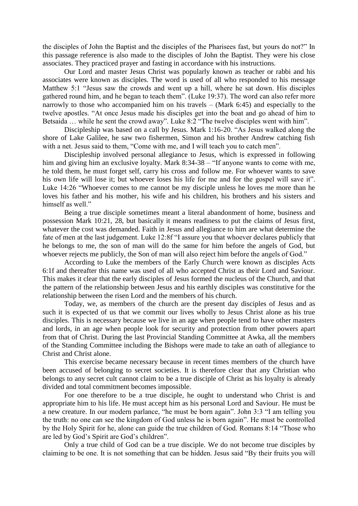the disciples of John the Baptist and the disciples of the Pharisees fast, but yours do not?" In this passage reference is also made to the disciples of John the Baptist. They were his close associates. They practiced prayer and fasting in accordance with his instructions.

Our Lord and master Jesus Christ was popularly known as teacher or rabbi and his associates were known as disciples. The word is used of all who responded to his message Matthew 5:1 "Jesus saw the crowds and went up a hill, where he sat down. His disciples gathered round him, and he began to teach them". (Luke 19:37). The word can also refer more narrowly to those who accompanied him on his travels – (Mark 6:45) and especially to the twelve apostles. "At once Jesus made his disciples get into the boat and go ahead of him to Betsaida … while he sent the crowd away". Luke 8:2 "The twelve disciples went with him".

Discipleship was based on a call by Jesus. Mark 1:16-20. "As Jesus walked along the shore of Lake Galilee, he saw two fishermen, Simon and his brother Andrew catching fish with a net. Jesus said to them, "Come with me, and I will teach you to catch men".

Discipleship involved personal allegiance to Jesus, which is expressed in following him and giving him an exclusive loyalty. Mark 8:34-38 – "If anyone wants to come with me, he told them, he must forget self, carry his cross and follow me. For whoever wants to save his own life will lose it; but whoever loses his life for me and for the gospel will save it". Luke 14:26 "Whoever comes to me cannot be my disciple unless he loves me more than he loves his father and his mother, his wife and his children, his brothers and his sisters and himself as well."

Being a true disciple sometimes meant a literal abandonment of home, business and possession Mark 10:21, 28, but basically it means readiness to put the claims of Jesus first, whatever the cost was demanded. Faith in Jesus and allegiance to him are what determine the fate of men at the last judgement. Luke 12:8f "I assure you that whoever declares publicly that he belongs to me, the son of man will do the same for him before the angels of God, but whoever rejects me publicly, the Son of man will also reject him before the angels of God."

According to Luke the members of the Early Church were known as disciples Acts 6:1f and thereafter this name was used of all who accepted Christ as their Lord and Saviour. This makes it clear that the early disciples of Jesus formed the nucleus of the Church, and that the pattern of the relationship between Jesus and his earthly disciples was constitutive for the relationship between the risen Lord and the members of his church.

Today, we, as members of the church are the present day disciples of Jesus and as such it is expected of us that we commit our lives wholly to Jesus Christ alone as his true disciples. This is necessary because we live in an age when people tend to have other masters and lords, in an age when people look for security and protection from other powers apart from that of Christ. During the last Provincial Standing Committee at Awka, all the members of the Standing Committee including the Bishops were made to take an oath of allegiance to Christ and Christ alone.

This exercise became necessary because in recent times members of the church have been accused of belonging to secret societies. It is therefore clear that any Christian who belongs to any secret cult cannot claim to be a true disciple of Christ as his loyalty is already divided and total commitment becomes impossible.

For one therefore to be a true disciple, he ought to understand who Christ is and appropriate him to his life. He must accept him as his personal Lord and Saviour. He must be a new creature. In our modern parlance, "he must be born again". John 3:3 "I am telling you the truth: no one can see the kingdom of God unless he is born again". He must be controlled by the Holy Spirit for he, alone can guide the true children of God. Romans 8:14 "Those who are led by God"s Spirit are God"s children".

Only a true child of God can be a true disciple. We do not become true disciples by claiming to be one. It is not something that can be hidden. Jesus said "By their fruits you will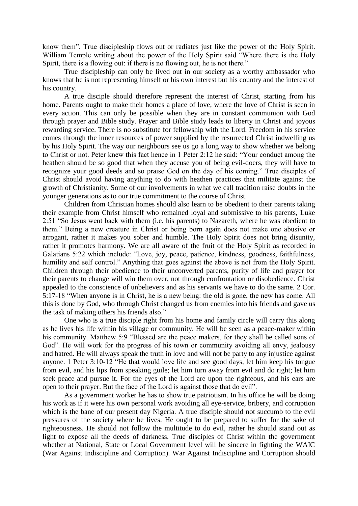know them". True discipleship flows out or radiates just like the power of the Holy Spirit. William Temple writing about the power of the Holy Spirit said "Where there is the Holy Spirit, there is a flowing out: if there is no flowing out, he is not there."

True discipleship can only be lived out in our society as a worthy ambassador who knows that he is not representing himself or his own interest but his country and the interest of his country.

A true disciple should therefore represent the interest of Christ, starting from his home. Parents ought to make their homes a place of love, where the love of Christ is seen in every action. This can only be possible when they are in constant communion with God through prayer and Bible study. Prayer and Bible study leads to liberty in Christ and joyous rewarding service. There is no substitute for fellowship with the Lord. Freedom in his service comes through the inner resources of power supplied by the resurrected Christ indwelling us by his Holy Spirit. The way our neighbours see us go a long way to show whether we belong to Christ or not. Peter knew this fact hence in 1 Peter 2:12 he said: "Your conduct among the heathen should be so good that when they accuse you of being evil-doers, they will have to recognize your good deeds and so praise God on the day of his coming." True disciples of Christ should avoid having anything to do with heathen practices that militate against the growth of Christianity. Some of our involvements in what we call tradition raise doubts in the younger generations as to our true commitment to the course of Christ.

Children from Christian homes should also learn to be obedient to their parents taking their example from Christ himself who remained loyal and submissive to his parents, Luke 2:51 "So Jesus went back with them (i.e. his parents) to Nazareth, where he was obedient to them." Being a new creature in Christ or being born again does not make one abusive or arrogant, rather it makes you sober and humble. The Holy Spirit does not bring disunity, rather it promotes harmony. We are all aware of the fruit of the Holy Spirit as recorded in Galatians 5:22 which include: "Love, joy, peace, patience, kindness, goodness, faithfulness, humility and self control." Anything that goes against the above is not from the Holy Spirit. Children through their obedience to their unconverted parents, purity of life and prayer for their parents to change will win them over, not through confrontation or disobedience. Christ appealed to the conscience of unbelievers and as his servants we have to do the same. 2 Cor. 5:17-18 "When anyone is in Christ, he is a new being: the old is gone, the new has come. All this is done by God, who through Christ changed us from enemies into his friends and gave us the task of making others his friends also."

One who is a true disciple right from his home and family circle will carry this along as he lives his life within his village or community. He will be seen as a peace-maker within his community. Matthew 5:9 "Blessed are the peace makers, for they shall be called sons of God". He will work for the progress of his town or community avoiding all envy, jealousy and hatred. He will always speak the truth in love and will not be party to any injustice against anyone. 1 Peter 3:10-12 "He that would love life and see good days, let him keep his tongue from evil, and his lips from speaking guile; let him turn away from evil and do right; let him seek peace and pursue it. For the eyes of the Lord are upon the righteous, and his ears are open to their prayer. But the face of the Lord is against those that do evil".

As a government worker he has to show true patriotism. In his office he will be doing his work as if it were his own personal work avoiding all eye-service, bribery, and corruption which is the bane of our present day Nigeria. A true disciple should not succumb to the evil pressures of the society where he lives. He ought to be prepared to suffer for the sake of righteousness. He should not follow the multitude to do evil, rather he should stand out as light to expose all the deeds of darkness. True disciples of Christ within the government whether at National, State or Local Government level will be sincere in fighting the WAIC (War Against Indiscipline and Corruption). War Against Indiscipline and Corruption should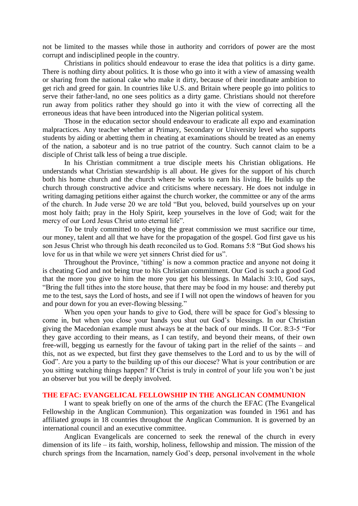not be limited to the masses while those in authority and corridors of power are the most corrupt and indisciplined people in the country.

Christians in politics should endeavour to erase the idea that politics is a dirty game. There is nothing dirty about politics. It is those who go into it with a view of amassing wealth or sharing from the national cake who make it dirty, because of their inordinate ambition to get rich and greed for gain. In countries like U.S. and Britain where people go into politics to serve their father-land, no one sees politics as a dirty game. Christians should not therefore run away from politics rather they should go into it with the view of correcting all the erroneous ideas that have been introduced into the Nigerian political system.

Those in the education sector should endeavour to eradicate all expo and examination malpractices. Any teacher whether at Primary, Secondary or University level who supports students by aiding or abetting them in cheating at examinations should be treated as an enemy of the nation, a saboteur and is no true patriot of the country. Such cannot claim to be a disciple of Christ talk less of being a true disciple.

In his Christian commitment a true disciple meets his Christian obligations. He understands what Christian stewardship is all about. He gives for the support of his church both his home church and the church where he works to earn his living. He builds up the church through constructive advice and criticisms where necessary. He does not indulge in writing damaging petitions either against the church worker, the committee or any of the arms of the church. In Jude verse 20 we are told "But you, beloved, build yourselves up on your most holy faith; pray in the Holy Spirit, keep yourselves in the love of God; wait for the mercy of our Lord Jesus Christ unto eternal life".

To be truly committed to obeying the great commission we must sacrifice our time, our money, talent and all that we have for the propagation of the gospel. God first gave us his son Jesus Christ who through his death reconciled us to God. Romans 5:8 "But God shows his love for us in that while we were yet sinners Christ died for us".

Throughout the Province, 'tithing' is now a common practice and anyone not doing it is cheating God and not being true to his Christian commitment. Our God is such a good God that the more you give to him the more you get his blessings. In Malachi 3:10, God says, "Bring the full tithes into the store house, that there may be food in my house: and thereby put me to the test, says the Lord of hosts, and see if I will not open the windows of heaven for you and pour down for you an ever-flowing blessing."

When you open your hands to give to God, there will be space for God's blessing to come in, but when you close your hands you shut out God"s blessings. In our Christian giving the Macedonian example must always be at the back of our minds. II Cor. 8:3-5 "For they gave according to their means, as I can testify, and beyond their means, of their own free-will, begging us earnestly for the favour of taking part in the relief of the saints – and this, not as we expected, but first they gave themselves to the Lord and to us by the will of God". Are you a party to the building up of this our diocese? What is your contribution or are you sitting watching things happen? If Christ is truly in control of your life you won"t be just an observer but you will be deeply involved.

#### **THE EFAC: EVANGELICAL FELLOWSHIP IN THE ANGLICAN COMMUNION**

I want to speak briefly on one of the arms of the church the EFAC (The Evangelical Fellowship in the Anglican Communion). This organization was founded in 1961 and has affiliated groups in 18 countries throughout the Anglican Communion. It is governed by an international council and an executive committee.

Anglican Evangelicals are concerned to seek the renewal of the church in every dimension of its life – its faith, worship, holiness, fellowship and mission. The mission of the church springs from the Incarnation, namely God"s deep, personal involvement in the whole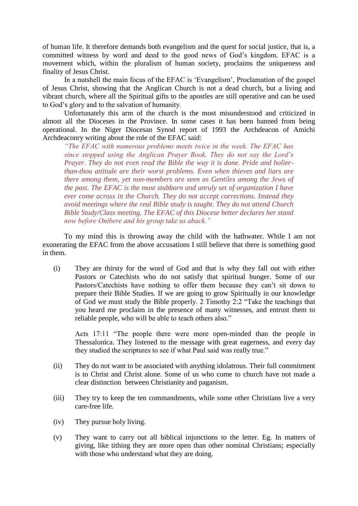of human life. It therefore demands both evangelism and the quest for social justice, that is, a committed witness by word and deed to the good news of God"s kingdom. EFAC is a movement which, within the pluralism of human society, proclaims the uniqueness and finality of Jesus Christ.

In a nutshell the main focus of the EFAC is "Evangelism", Proclamation of the gospel of Jesus Christ, showing that the Anglican Church is not a dead church, but a living and vibrant church, where all the Spiritual gifts to the apostles are still operative and can be used to God"s glory and to the salvation of humanity.

Unfortunately this arm of the church is the most misunderstood and criticized in almost all the Dioceses in the Province. In some cases it has been banned from being operational. In the Niger Diocesan Synod report of 1993 the Archdeacon of Amichi Archdeaconry writing about the role of the EFAC said:

*"The EFAC with numerous problems meets twice in the week. The EFAC has since stopped using the Anglican Prayer Book. They do not say the Lord's Prayer. They do not even read the Bible the way it is done. Pride and holierthan-thou attitude are their worst problems. Even when thieves and liars are there among them, yet non-members are seen as Gentiles among the Jews of the past. The EFAC is the most stubborn and unruly set of organization I have ever come across in the Church. They do not accept corrections. Instead they avoid meetings where the real Bible study is taught. They do not attend Church Bible Study/Class meeting. The EFAC of this Diocese better declares her stand now before Onibere and his group take us aback."*

To my mind this is throwing away the child with the bathwater. While I am not exonerating the EFAC from the above accusations I still believe that there is something good in them.

(i) They are thirsty for the word of God and that is why they fall out with either Pastors or Catechists who do not satisfy that spiritual hunger. Some of our Pastors/Catechists have nothing to offer them because they can't sit down to prepare their Bible Studies. If we are going to grow Spiritually in our knowledge of God we must study the Bible properly. 2 Timothy 2:2 "Take the teachings that you heard me proclaim in the presence of many witnesses, and entrust them to reliable people, who will be able to teach others also."

Acts 17:11 "The people there were more open-minded than the people in Thessalonica. They listened to the message with great eagerness, and every day they studied the scriptures to see if what Paul said was really true."

- (ii) They do not want to be associated with anything idolatrous. Their full commitment is to Christ and Christ alone. Some of us who come to church have not made a clear distinction between Christianity and paganism.
- (iii) They try to keep the ten commandments, while some other Christians live a very care-free life.
- (iv) They pursue holy living.
- (v) They want to carry out all biblical injunctions to the letter. Eg. In matters of giving, like tithing they are more open than other nominal Christians; especially with those who understand what they are doing.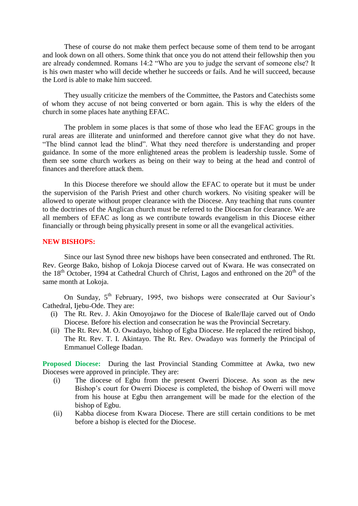These of course do not make them perfect because some of them tend to be arrogant and look down on all others. Some think that once you do not attend their fellowship then you are already condemned. Romans 14:2 "Who are you to judge the servant of someone else? It is his own master who will decide whether he succeeds or fails. And he will succeed, because the Lord is able to make him succeed.

They usually criticize the members of the Committee, the Pastors and Catechists some of whom they accuse of not being converted or born again. This is why the elders of the church in some places hate anything EFAC.

The problem in some places is that some of those who lead the EFAC groups in the rural areas are illiterate and uninformed and therefore cannot give what they do not have. "The blind cannot lead the blind". What they need therefore is understanding and proper guidance. In some of the more enlightened areas the problem is leadership tussle. Some of them see some church workers as being on their way to being at the head and control of finances and therefore attack them.

In this Diocese therefore we should allow the EFAC to operate but it must be under the supervision of the Parish Priest and other church workers. No visiting speaker will be allowed to operate without proper clearance with the Diocese. Any teaching that runs counter to the doctrines of the Anglican church must be referred to the Diocesan for clearance. We are all members of EFAC as long as we contribute towards evangelism in this Diocese either financially or through being physically present in some or all the evangelical activities.

#### **NEW BISHOPS:**

Since our last Synod three new bishops have been consecrated and enthroned. The Rt. Rev. George Bako, bishop of Lokoja Diocese carved out of Kwara. He was consecrated on the  $18<sup>th</sup>$  October, 1994 at Cathedral Church of Christ, Lagos and enthroned on the  $20<sup>th</sup>$  of the same month at Lokoja.

On Sunday, 5<sup>th</sup> February, 1995, two bishops were consecrated at Our Saviour's Cathedral, Ijebu-Ode. They are:

- (i) The Rt. Rev. J. Akin Omoyojawo for the Diocese of Ikale/Ilaje carved out of Ondo Diocese. Before his election and consecration he was the Provincial Secretary.
- (ii) The Rt. Rev. M. O. Owadayo, bishop of Egba Diocese. He replaced the retired bishop, The Rt. Rev. T. I. Akintayo. The Rt. Rev. Owadayo was formerly the Principal of Emmanuel College Ibadan.

**Proposed Diocese:** During the last Provincial Standing Committee at Awka, two new Dioceses were approved in principle. They are:

- (i) The diocese of Egbu from the present Owerri Diocese. As soon as the new Bishop"s court for Owerri Diocese is completed, the bishop of Owerri will move from his house at Egbu then arrangement will be made for the election of the bishop of Egbu.
- (ii) Kabba diocese from Kwara Diocese. There are still certain conditions to be met before a bishop is elected for the Diocese.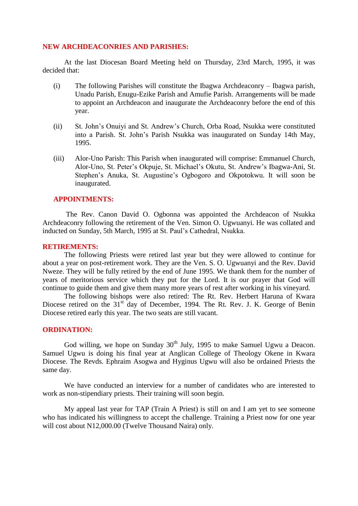#### **NEW ARCHDEACONRIES AND PARISHES:**

At the last Diocesan Board Meeting held on Thursday, 23rd March, 1995, it was decided that:

- (i) The following Parishes will constitute the Ibagwa Archdeaconry Ibagwa parish, Unadu Parish, Enugu-Ezike Parish and Amufie Parish. Arrangements will be made to appoint an Archdeacon and inaugurate the Archdeaconry before the end of this year.
- (ii) St. John"s Onuiyi and St. Andrew"s Church, Orba Road, Nsukka were constituted into a Parish. St. John"s Parish Nsukka was inaugurated on Sunday 14th May, 1995.
- (iii) Alor-Uno Parish: This Parish when inaugurated will comprise: Emmanuel Church, Alor-Uno, St. Peter"s Okpuje, St. Michael"s Okutu, St. Andrew"s Ibagwa-Ani, St. Stephen's Anuka, St. Augustine's Ogbogoro and Okpotokwu. It will soon be inaugurated.

#### **APPOINTMENTS:**

The Rev. Canon David O. Ogbonna was appointed the Archdeacon of Nsukka Archdeaconry following the retirement of the Ven. Simon O. Ugwuanyi. He was collated and inducted on Sunday, 5th March, 1995 at St. Paul"s Cathedral, Nsukka.

#### **RETIREMENTS:**

The following Priests were retired last year but they were allowed to continue for about a year on post-retirement work. They are the Ven. S. O. Ugwuanyi and the Rev. David Nweze. They will be fully retired by the end of June 1995. We thank them for the number of years of meritorious service which they put for the Lord. It is our prayer that God will continue to guide them and give them many more years of rest after working in his vineyard.

The following bishops were also retired: The Rt. Rev. Herbert Haruna of Kwara Diocese retired on the 31<sup>st</sup> day of December, 1994. The Rt. Rev. J. K. George of Benin Diocese retired early this year. The two seats are still vacant.

#### **ORDINATION:**

God willing, we hope on Sunday  $30<sup>th</sup>$  July, 1995 to make Samuel Ugwu a Deacon. Samuel Ugwu is doing his final year at Anglican College of Theology Okene in Kwara Diocese. The Revds. Ephraim Asogwa and Hyginus Ugwu will also be ordained Priests the same day.

We have conducted an interview for a number of candidates who are interested to work as non-stipendiary priests. Their training will soon begin.

My appeal last year for TAP (Train A Priest) is still on and I am yet to see someone who has indicated his willingness to accept the challenge. Training a Priest now for one year will cost about N12,000.00 (Twelve Thousand Naira) only.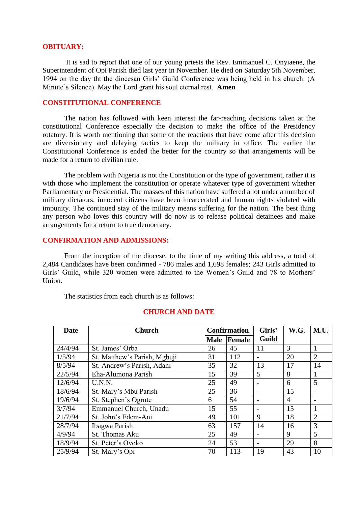#### **OBITUARY:**

It is sad to report that one of our young priests the Rev. Emmanuel C. Onyiaene, the Superintendent of Opi Parish died last year in November. He died on Saturday 5th November, 1994 on the day tht the diocesan Girls" Guild Conference was being held in his church. (A Minute"s Silence). May the Lord grant his soul eternal rest. **Amen**

# **CONSTITUTIONAL CONFERENCE**

The nation has followed with keen interest the far-reaching decisions taken at the constitutional Conference especially the decision to make the office of the Presidency rotatory. It is worth mentioning that some of the reactions that have come after this decision are diversionary and delaying tactics to keep the military in office. The earlier the Constitutional Conference is ended the better for the country so that arrangements will be made for a return to civilian rule.

The problem with Nigeria is not the Constitution or the type of government, rather it is with those who implement the constitution or operate whatever type of government whether Parliamentary or Presidential. The masses of this nation have suffered a lot under a number of military dictators, innocent citizens have been incarcerated and human rights violated with impunity. The continued stay of the military means suffering for the nation. The best thing any person who loves this country will do now is to release political detainees and make arrangements for a return to true democracy.

# **CONFIRMATION AND ADMISSIONS:**

From the inception of the diocese, to the time of my writing this address, a total of 2,484 Candidates have been confirmed - 786 males and 1,698 females; 243 Girls admitted to Girls' Guild, while 320 women were admitted to the Women's Guild and 78 to Mothers' Union.

The statistics from each church is as follows:

| Date    | <b>Church</b>                | <b>Confirmation</b> |        | Girls'       | W.G.           | M.U.           |
|---------|------------------------------|---------------------|--------|--------------|----------------|----------------|
|         |                              | <b>Male</b>         | Female | <b>Guild</b> |                |                |
| 24/4/94 | St. James' Orba              | 26                  | 45     | 11           | 3              |                |
| 1/5/94  | St. Matthew's Parish, Mgbuji | 31                  | 112    |              | 20             | $\overline{2}$ |
| 8/5/94  | St. Andrew's Parish, Adani   | 35                  | 32     | 13           | 17             | 14             |
| 22/5/94 | Eha-Alumona Parish           | 15                  | 39     | 5            | 8              | 1              |
| 12/6/94 | U.N.N.                       | 25                  | 49     |              | 6              | 5              |
| 18/6/94 | St. Mary's Mbu Parish        | 25                  | 36     |              | 15             |                |
| 19/6/94 | St. Stephen's Ogrute         | 6                   | 54     |              | $\overline{4}$ |                |
| 3/7/94  | Emmanuel Church, Unadu       | 15                  | 55     |              | 15             |                |
| 21/7/94 | St. John's Edem-Ani          | 49                  | 101    | 9            | 18             | $\overline{2}$ |
| 28/7/94 | Ibagwa Parish                | 63                  | 157    | 14           | 16             | 3              |
| 4/9/94  | St. Thomas Aku               | 25                  | 49     |              | 9              | 5              |
| 18/9/94 | St. Peter's Ovoko            | 24                  | 53     |              | 29             | 8              |
| 25/9/94 | St. Mary's Opi               | 70                  | 113    | 19           | 43             | 10             |

#### **CHURCH AND DATE**